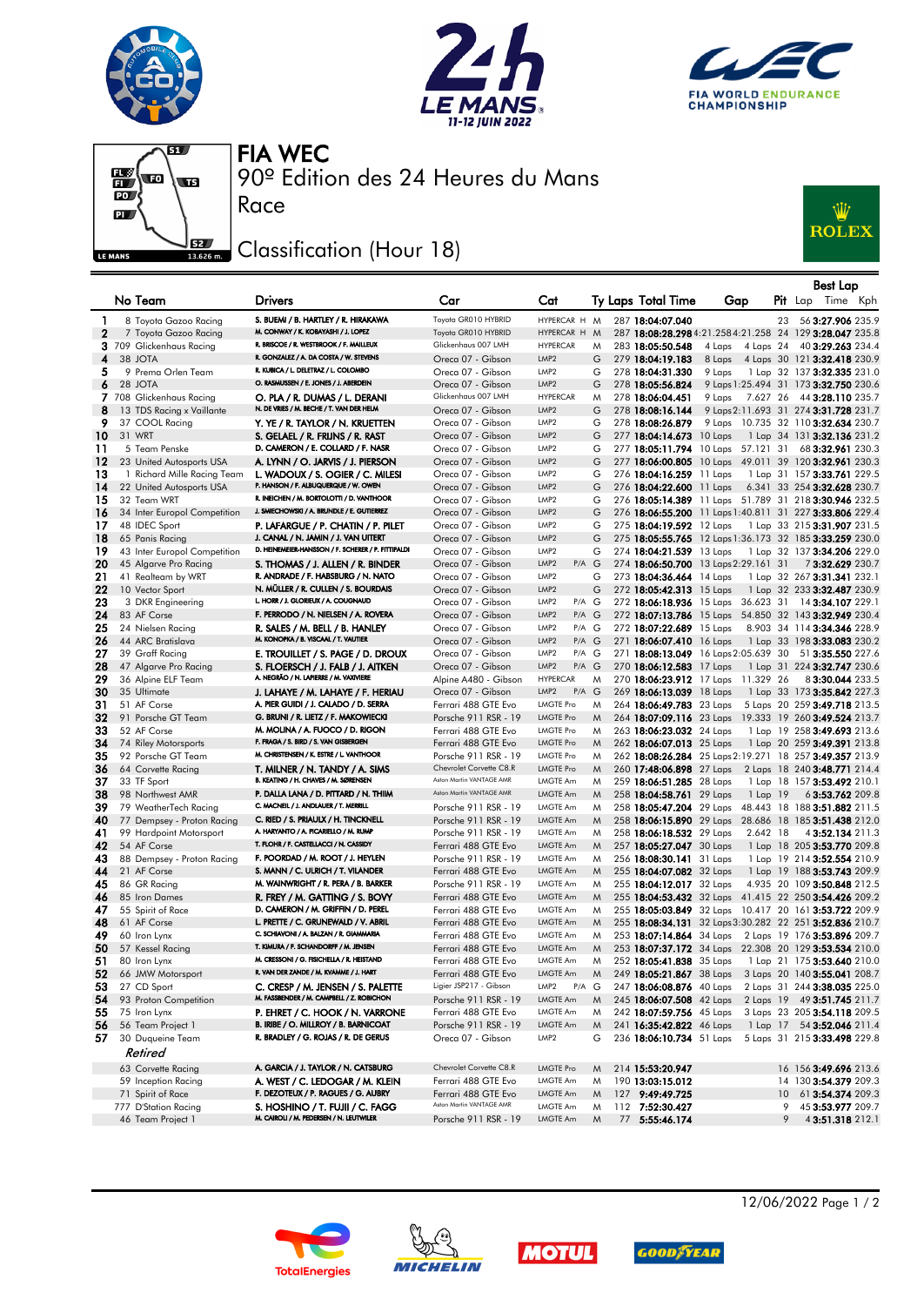







90º Edition des 24 Heures du Mans FIA WEC

## Classification (Hour 18)

Race



|          |                                                   |                                                                             |                                                 |                                                              |        |                                                      |                                      |    | <b>Best Lap</b>                                                                                                |
|----------|---------------------------------------------------|-----------------------------------------------------------------------------|-------------------------------------------------|--------------------------------------------------------------|--------|------------------------------------------------------|--------------------------------------|----|----------------------------------------------------------------------------------------------------------------|
|          | No Team                                           | <b>Drivers</b>                                                              | Car                                             | Cat                                                          |        | Ty Laps Total Time                                   | Gap                                  |    | Pit Lap Time Kph                                                                                               |
|          |                                                   |                                                                             |                                                 |                                                              |        |                                                      |                                      |    |                                                                                                                |
| 1        | 8 Toyota Gazoo Racing                             | S. BUEMI / B. HARTLEY / R. HIRAKAWA<br>M. CONWAY / K. KOBAYASHI / J. LOPEZ  | Toyota GR010 HYBRID<br>Toyota GR010 HYBRID      | HYPERCAR H M<br>HYPERCAR H M                                 |        | 287 18:04:07.040                                     |                                      | 23 | 56 3:27.906 235.9                                                                                              |
| 2        | 7 Toyota Gazoo Racing<br>3 709 Glickenhaus Racing | R. BRISCOE / R. WESTBROOK / F. MAILLEUX                                     | Glickenhaus 007 LMH                             | <b>HYPERCAR</b>                                              | M      | 283 18:05:50.548                                     | 4 Laps<br>4 Laps 24                  |    | 287 18:08:28.298 4:21.258 4:21.258 24 129 3:28.047 235.8<br>40 3:29.263 234.4                                  |
| 4        | 38 JOTA                                           | R. GONZALEZ / A. DA COSTA / W. STEVENS                                      | Oreca 07 - Gibson                               | LMP <sub>2</sub>                                             | G      | 279 18:04:19.183                                     | 8 Laps                               |    | 4 Laps 30 121 3:32.418 230.9                                                                                   |
| 5        | 9 Prema Orlen Team                                | R. KUBICA / L. DELETRAZ / L. COLOMBO                                        | Oreca 07 - Gibson                               | LMP <sub>2</sub>                                             | G      | 278 18:04:31.330                                     | 9 Laps                               |    | 1 Lap 32 137 3:32.335 231.0                                                                                    |
| 6        | 28 JOTA                                           | O. RASMUSSEN / E. JONES / J. ABERDEIN                                       | Oreca 07 - Gibson                               | LMP <sub>2</sub>                                             | G      | 278 18:05:56.824                                     |                                      |    | 9 Laps 1:25.494 31 173 3:32.750 230.6                                                                          |
|          | 7 708 Glickenhaus Racing                          | O. PLA / R. DUMAS / L. DERANI                                               | Glickenhaus 007 LMH                             | <b>HYPERCAR</b>                                              | M      | 278 18:06:04.451                                     | 9 Laps                               |    | 7.627 26 44 3:28.110 235.7                                                                                     |
| 8        | 13 TDS Racing x Vaillante                         | N. DE VRIES / M. BECHE / T. VAN DER HELM                                    | Oreca 07 - Gibson                               | LMP <sub>2</sub>                                             | G      | 278 18:08:16.144                                     |                                      |    | 9 Laps 2:11.693 31 274 3:31.728 231.7                                                                          |
| 9        | 37 COOL Racing                                    | Y. YE / R. TAYLOR / N. KRUETTEN                                             | Oreca 07 - Gibson                               | LMP <sub>2</sub>                                             | G      | 278 18:08:26.879                                     |                                      |    | 9 Laps 10.735 32 110 3:32.634 230.7                                                                            |
| 10       | 31 WRT                                            | S. GELAEL / R. FRIJNS / R. RAST                                             | Oreca 07 - Gibson                               | LMP <sub>2</sub>                                             | G      | 277 18:04:14.673 10 Laps                             |                                      |    | 1 Lap 34 131 3:32.136 231.2                                                                                    |
| 11       | 5 Team Penske                                     | D. CAMERON / E. COLLARD / F. NASR                                           | Oreca 07 - Gibson                               | LMP <sub>2</sub>                                             | G      |                                                      | 277 18:05:11.794 10 Laps 57.121 31   |    | 68 3:32.961 230.3                                                                                              |
| 12       | 23 United Autosports USA                          | A. LYNN / O. JARVIS / J. PIERSON                                            | Oreca 07 - Gibson                               | LMP <sub>2</sub><br>LMP <sub>2</sub>                         | G      |                                                      |                                      |    | 277 18:06:00.805 10 Laps 49.011 39 120 3:32.961 230.3                                                          |
| 13<br>14 | 1 Richard Mille Racing Team                       | L. WADOUX / S. OGIER / C. MILESI<br>P. HANSON / F. ALBUQUERQUE / W. OWEN    | Oreca 07 - Gibson<br>Oreca 07 - Gibson          | LMP <sub>2</sub>                                             | G<br>G | 276 18:04:16.259 11 Laps                             |                                      |    | 1 Lap 31 157 3:33.761 229.5                                                                                    |
| 15       | 22 United Autosports USA<br>32 Team WRT           | R. INEICHEN / M. BORTOLOTTI / D. VANTHOOR                                   | Oreca 07 - Gibson                               | LMP <sub>2</sub>                                             | G      | 276 18:04:22.600 11 Laps                             |                                      |    | 6.341 33 254 3:32.628 230.7<br>276 18:05:14.389 11 Laps 51.789 31 218 3:30.946 232.5                           |
| 16       | 34 Inter Europol Competition                      | J. SMIECHOWSKI / A. BRUNDLE / E. GUTIERREZ                                  | Oreca 07 - Gibson                               | LMP <sub>2</sub>                                             | G      |                                                      |                                      |    | 276 18:06:55.200 11 Laps 1:40.811 31 227 3:33.806 229.4                                                        |
| 17       | 48 IDEC Sport                                     | P. LAFARGUE / P. CHATIN / P. PILET                                          | Oreca 07 - Gibson                               | LMP <sub>2</sub>                                             | G      | 275 18:04:19.592 12 Laps                             |                                      |    | 1 Lap 33 215 3:31.907 231.5                                                                                    |
| 18       | 65 Panis Racing                                   | J. CANAL / N. JAMIN / J. VAN UITERT                                         | Oreca 07 - Gibson                               | LMP <sub>2</sub>                                             | G      |                                                      |                                      |    | 275 18:05:55.765 12 Laps 1:36.173 32 185 3:33.259 230.0                                                        |
| 19       | 43 Inter Europol Competition                      | D. HEINEMEIER-HANSSON / F. SCHERER / P. FITTIPALDI                          | Oreca 07 - Gibson                               | LMP <sub>2</sub>                                             | G      | 274 18:04:21.539 13 Laps                             |                                      |    | 1 Lap 32 137 3:34.206 229.0                                                                                    |
| 20       | 45 Algarve Pro Racing                             | S. THOMAS / J. ALLEN / R. BINDER                                            | Oreca 07 - Gibson                               | LMP <sub>2</sub><br>$P/A$ $G$                                |        |                                                      | 274 18:06:50.700 13 Laps 2:29.161 31 |    | 73:32.629 230.7                                                                                                |
| 21       | 41 Realteam by WRT                                | R. ANDRADE / F. HABSBURG / N. NATO                                          | Oreca 07 - Gibson                               | LMP <sub>2</sub>                                             | G      | 273 18:04:36.464 14 Laps                             |                                      |    | 1 Lap 32 267 3:31.341 232.1                                                                                    |
| 22       | 10 Vector Sport                                   | N. MÜLLER / R. CULLEN / S. BOURDAIS                                         | Oreca 07 - Gibson                               | LMP <sub>2</sub>                                             | G      | 272 18:05:42.313 15 Laps                             |                                      |    | 1 Lap 32 233 3:32.487 230.9                                                                                    |
| 23       | 3 DKR Engineering                                 | L. HORR / J. GLORIEUX / A. COUGNAUD                                         | Oreca 07 - Gibson                               | LMP <sub>2</sub><br>P/A G                                    |        | 272 18:06:18.936 15 Laps                             | 36.623 31                            |    | 14 3:34.107 229.1                                                                                              |
| 24       | 83 AF Corse                                       | F. PERRODO / N. NIELSEN / A. ROVERA                                         | Oreca 07 - Gibson                               | LMP <sub>2</sub><br>$P/A$ $G$                                |        |                                                      |                                      |    | 272 18:07:13.786 15 Laps 54.850 32 143 3:32.949 230.4                                                          |
| 25<br>26 | 24 Nielsen Racing<br>44 ARC Bratislava            | R. SALES / M. BELL / B. HANLEY<br>M. KONOPKA / B. VISCAAL / T. VAUTIER      | Oreca 07 - Gibson<br>Oreca 07 - Gibson          | LMP <sub>2</sub><br>$P/A$ G<br>LMP <sub>2</sub><br>$P/A$ $G$ |        | 272 18:07:22.689 15 Laps<br>271 18:06:07.410 16 Laps |                                      |    | 8.903 34 114 3:34.346 228.9<br>1 Lap 33 198 3:33.083 230.2                                                     |
| 27       | 39 Graff Racing                                   | E. TROUILLET / S. PAGE / D. DROUX                                           | Oreca 07 - Gibson                               | LMP <sub>2</sub><br>P/A G                                    |        |                                                      | 271 18:08:13.049 16 Laps 2:05.639 30 |    | 51 3:35.550 227.6                                                                                              |
| 28       | 47 Algarve Pro Racing                             | S. FLOERSCH / J. FALB / J. AITKEN                                           | Oreca 07 - Gibson                               | LMP <sub>2</sub><br>$P/A$ $G$                                |        | 270 18:06:12.583 17 Laps                             |                                      |    | 1 Lap 31 224 3:32.747 230.6                                                                                    |
| 29       | 36 Alpine ELF Team                                | A. NEGRÃO / N. LAPIERRE / M. VAXIVIERE                                      | Alpine A480 - Gibson                            | <b>HYPERCAR</b>                                              | M      |                                                      | 270 18:06:23.912 17 Laps 11.329 26   |    | 83:30.044 233.5                                                                                                |
| 30       | 35 Ultimate                                       | J. LAHAYE / M. LAHAYE / F. HERIAU                                           | Oreca 07 - Gibson                               | LMP <sub>2</sub><br>$P/A$ $G$                                |        | 269 18:06:13.039 18 Laps                             |                                      |    | 1 Lap 33 173 3:35.842 227.3                                                                                    |
| 31       | 51 AF Corse                                       | A. PIER GUIDI / J. CALADO / D. SERRA                                        | Ferrari 488 GTE Evo                             | <b>LMGTE Pro</b>                                             | M      | 264 18:06:49.783 23 Laps                             |                                      |    | 5 Laps 20 259 3:49.718 213.5                                                                                   |
| 32       | 91 Porsche GT Team                                | G. BRUNI / R. LIETZ / F. MAKOWIECKI                                         | Porsche 911 RSR - 19                            | <b>LMGTE Pro</b>                                             | M      | 264 18:07:09.116 23 Laps                             |                                      |    | 19.333 19 260 3:49.524 213.7                                                                                   |
| 33       | 52 AF Corse                                       | M. MOLINA / A. FUOCO / D. RIGON                                             | Ferrari 488 GTE Evo                             | <b>LMGTE Pro</b>                                             | M      | 263 18:06:23.032 24 Laps                             |                                      |    | 1 Lap 19 258 3:49.693 213.6                                                                                    |
| 34       | 74 Riley Motorsports                              | F. FRAGA / S. BIRD / S. VAN GISBERGEN                                       | Ferrari 488 GTE Evo                             | <b>LMGTE Pro</b>                                             | M      | 262 18:06:07.013 25 Laps                             |                                      |    | 1 Lap 20 259 3:49.391 213.8                                                                                    |
| 35       | 92 Porsche GT Team                                | M. CHRISTENSEN / K. ESTRE / L. VANTHOOR                                     | Porsche 911 RSR - 19<br>Chevrolet Corvette C8.R | <b>LMGTE Pro</b><br><b>LMGTE Pro</b>                         | M      |                                                      |                                      |    | 262 18:08:26.284 25 Laps 2:19.271 18 257 3:49.357 213.9                                                        |
| 36<br>37 | 64 Corvette Racing<br>33 TF Sport                 | T. MILNER / N. TANDY / A. SIMS<br>B. KEATING / H. CHAVES / M. SØRENSEN      | Aston Martin VANTAGE AMR                        | LMGTE Am                                                     | M<br>M | 260 17:48:06.898 27 Laps<br>259 18:06:51.285 28 Laps |                                      |    | 2 Laps 18 240 3:48.771 214.4<br>1 Lap 18 157 3:53.492 210.1                                                    |
| 38       | 98 Northwest AMR                                  | P. DALLA LANA / D. PITTARD / N. THIIM                                       | Aston Martin VANTAGE AMR                        | <b>LMGTE Am</b>                                              | M      | 258 18:04:58.761 29 Laps                             | 1 Lap 19                             |    | 63:53.762 209.8                                                                                                |
| 39       | 79 WeatherTech Racing                             | C. MACNEIL / J. ANDLAUER / T. MERRILL                                       | Porsche 911 RSR - 19                            | LMGTE Am                                                     | M      | 258 18:05:47.204 29 Laps                             |                                      |    | 48.443 18 188 3:51.882 211.5                                                                                   |
| 40       | 77 Dempsey - Proton Racing                        | C. RIED / S. PRIAULX / H. TINCKNELL                                         | Porsche 911 RSR - 19                            | <b>LMGTE Am</b>                                              | M      |                                                      |                                      |    | 258 18:06:15.890 29 Laps 28.686 18 185 3:51.438 212.0                                                          |
| 41       | 99 Hardpoint Motorsport                           | A. HARYANTO / A. PICARIELLO / M. RUMP                                       | Porsche 911 RSR - 19                            | LMGTE Am                                                     | M      | 258 18:06:18.532 29 Laps                             | 2.642 18                             |    | 4 3:52.134 211.3                                                                                               |
| 42       | 54 AF Corse                                       | T. FLOHR / F. CASTELLACCI / N. CASSIDY                                      | Ferrari 488 GTE Evo                             | LMGTE Am                                                     | M      | 257 18:05:27.047 30 Laps                             |                                      |    | 1 Lap 18 205 3:53.770 209.8                                                                                    |
| 43       | 88 Dempsey - Proton Racing                        | F. POORDAD / M. ROOT / J. HEYLEN                                            | Porsche 911 RSR - 19                            | LMGTE Am                                                     | M      | 256 18:08:30.141 31 Laps                             |                                      |    | 1 Lap 19 214 3:52.554 210.9                                                                                    |
| 44       | 21 AF Corse                                       | S. MANN / C. ULRICH / T. VILANDER                                           | Ferrari 488 GTE Evo                             | LMGTE Am                                                     | M      | 255 18:04:07.082 32 Laps                             |                                      |    | 1 Lap 19 188 3:53.743 209.9                                                                                    |
| 45       | 86 GR Racing                                      | M. WAINWRIGHT / R. PERA / B. BARKER                                         | Porsche 911 RSR - 19                            | LMGTE Am                                                     | M      | 255 18:04:12.017 32 Laps                             |                                      |    | 4.935 20 109 3:50.848 212.5                                                                                    |
| 46<br>47 | 85 Iron Dames<br>55 Spirit of Race                | R. FREY / M. GATTING / S. BOVY<br>D. CAMERON / M. GRIFFIN / D. PEREL        | Ferrari 488 GTE Evo<br>Ferrari 488 GTE Evo      | LMGTE Am<br><b>LMGTE Am</b>                                  | M<br>M |                                                      |                                      |    | 255 18:04:53.432 32 Laps 41.415 22 250 3:54.426 209.2<br>255 18:05:03.849 32 Laps 10.417 20 161 3:53.722 209.9 |
| 48       | 61 AF Corse                                       | L. PRETTE / C. GRUNEWALD / V. ABRIL                                         | Ferrari 488 GTE Evo                             | <b>LMGTE Am</b>                                              | M      |                                                      |                                      |    | 255 18:08:34.131 32 Laps3:30.282 22 251 3:52.836 210.7                                                         |
| 49       | 60 Iron Lynx                                      | C. SCHIAVONI / A. BALZAN / R. GIAMMARIA                                     | Ferrari 488 GTE Evo                             | LMGTE Am                                                     | M      | 253 18:07:14.864 34 Laps                             |                                      |    | 2 Laps 19 176 <b>3:53.896</b> 209.7                                                                            |
| 50       | 57 Kessel Racing                                  | T. KIMURA / F. SCHANDORFF / M. JENSEN                                       | Ferrari 488 GTE Evo                             | <b>LMGTE Am</b>                                              | M      |                                                      |                                      |    | 253 18:07:37.172 34 Laps 22.308 20 129 3:53.534 210.0                                                          |
| 51       | 80 Iron Lynx                                      | M. CRESSONI / G. FISICHELLA / R. HEISTAND                                   | Ferrari 488 GTE Evo                             | <b>LMGTE Am</b>                                              | M      | 252 18:05:41.838 35 Laps                             |                                      |    | 1 Lap 21 175 3:53.640 210.0                                                                                    |
| 52       | 66 JMW Motorsport                                 | R. VAN DER ZANDE / M. KVAMME / J. HART                                      | Ferrari 488 GTE Evo                             | LMGTE Am                                                     | M      | 249 18:05:21.867 38 Laps                             |                                      |    | 3 Laps 20 140 3:55.041 208.7                                                                                   |
| 53       | 27 CD Sport                                       | C. CRESP / M. JENSEN / S. PALETTE                                           | Ligier JSP217 - Gibson                          | LMP <sub>2</sub><br>P/A G                                    |        | 247 18:06:08.876 40 Laps                             |                                      |    | 2 Laps 31 244 3:38.035 225.0                                                                                   |
| 54       | 93 Proton Competition                             | M. FASSBENDER / M. CAMPBELL / Z. ROBICHON                                   | Porsche 911 RSR - 19                            | LMGTE Am                                                     | M      | 245 18:06:07.508 42 Laps                             |                                      |    | 2 Laps 19 49 3:51.745 211.7                                                                                    |
| 55       | 75 Iron Lynx                                      | P. EHRET / C. HOOK / N. VARRONE                                             | Ferrari 488 GTE Evo                             | LMGTE Am                                                     | M      | 242 18:07:59.756 45 Laps                             |                                      |    | 3 Laps 23 205 3:54.118 209.5                                                                                   |
| 56<br>57 | 56 Team Project 1                                 | B. IRIBE / O. MILLROY / B. BARNICOAT<br>R. BRADLEY / G. ROJAS / R. DE GERUS | Porsche 911 RSR - 19                            | LMGTE Am<br>LMP2                                             | M      | 241 16:35:42.822 46 Laps<br>236 18:06:10.734 51 Laps |                                      |    | 1 Lap 17 54 3:52.046 211.4                                                                                     |
|          | 30 Duqueine Team<br>Retired                       |                                                                             | Oreca 07 - Gibson                               |                                                              | G      |                                                      |                                      |    | 5 Laps 31 215 3:33.498 229.8                                                                                   |
|          |                                                   |                                                                             | Chevrolet Corvette C8.R                         |                                                              |        |                                                      |                                      |    |                                                                                                                |
|          | 63 Corvette Racing<br>59 Inception Racing         | A. GARCIA / J. TAYLOR / N. CATSBURG<br>A. WEST / C. LEDOGAR / M. KLEIN      | Ferrari 488 GTE Evo                             | <b>LMGTE Pro</b><br>LMGTE Am                                 | M<br>M | 214 15:53:20.947<br>190 13:03:15.012                 |                                      |    | 16 156 3:49.696 213.6<br>14 130 3:54.379 209.3                                                                 |
|          | 71 Spirit of Race                                 | F. DEZOTEUX / P. RAGUES / G. AUBRY                                          | Ferrari 488 GTE Evo                             | LMGTE Am                                                     | M      | 127 9:49:49.725                                      |                                      | 10 | 61 3:54.374 209.3                                                                                              |
|          | 777 D'Station Racing                              | S. HOSHINO / T. FUJII / C. FAGG                                             | Aston Martin VANTAGE AMR                        | LMGTE Am                                                     | M      | 112 7:52:30.427                                      |                                      | 9  | 45 3:53.977 209.7                                                                                              |
|          | 46 Team Project 1                                 | M. CAIROLI / M. PEDERSEN / N. LEUTWILER                                     | Porsche 911 RSR - 19                            | LMGTE Am                                                     | M      | 77 5:55:46.174                                       |                                      | 9  | 43:51.318 212.1                                                                                                |









12/06/2022 Page 1 / 2